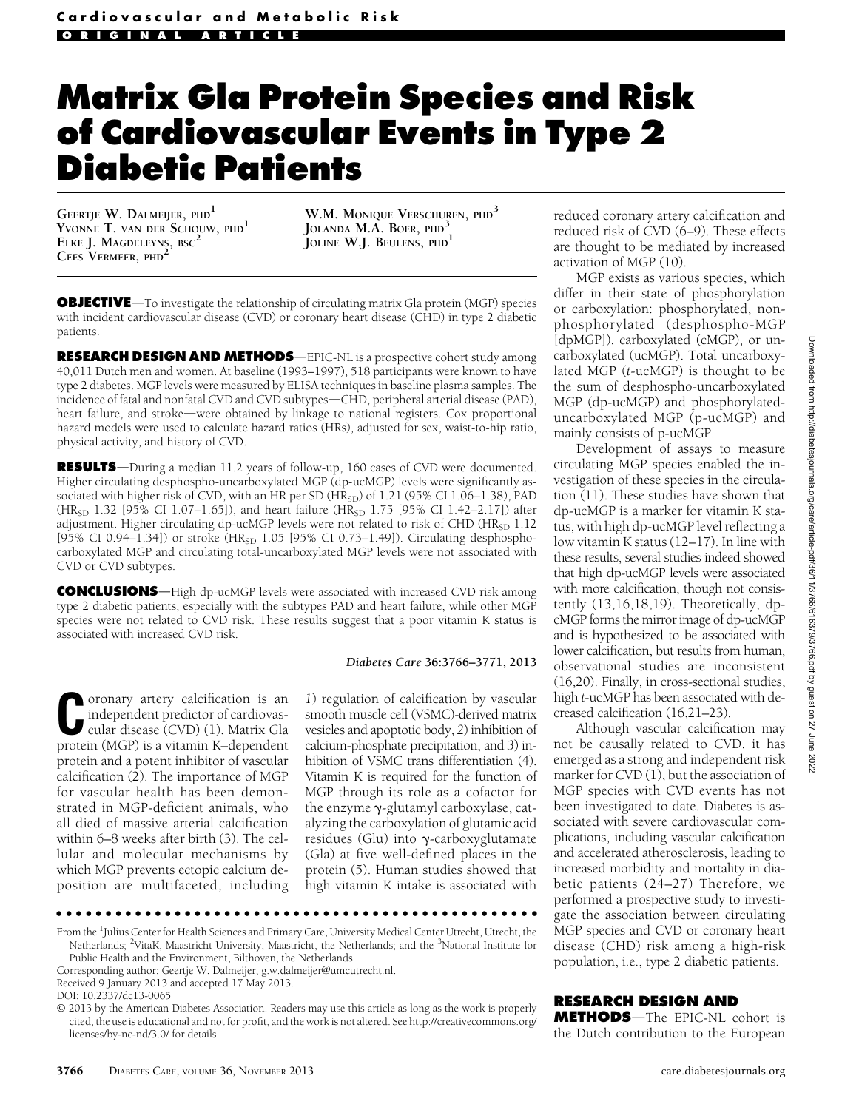# Matrix Gla Protein Species and Risk of Cardiovascular Events in Type 2 Diabetic Patients

GEERTJE W. DALMEIJER, PHD<sup>1</sup> YVONNE T. VAN DER SCHOUW, PHD<sup>1</sup> ELKE J. MAGDELEYNS, BSC CEES VERMEER, PHD<sup>2</sup>

W.M. MONIQUE VERSCHUREN, PHD<sup>3</sup> JOLANDA M.A. BOER, PHD JOLINE W.J. BEULENS, PHD<sup>1</sup>

**OBJECTIVE**—To investigate the relationship of circulating matrix Gla protein (MGP) species with incident cardiovascular disease (CVD) or coronary heart disease (CHD) in type 2 diabetic patients.

RESEARCH DESIGN AND METHODS-EPIC-NL is a prospective cohort study among 40,011 Dutch men and women. At baseline (1993–1997), 518 participants were known to have type 2 diabetes. MGP levels were measured by ELISA techniques in baseline plasma samples. The incidence of fatal and nonfatal CVD and CVD subtypes—CHD, peripheral arterial disease (PAD), heart failure, and stroke—were obtained by linkage to national registers. Cox proportional hazard models were used to calculate hazard ratios (HRs), adjusted for sex, waist-to-hip ratio, physical activity, and history of CVD.

**RESULTS**—During a median 11.2 years of follow-up, 160 cases of CVD were documented. Higher circulating desphospho-uncarboxylated MGP (dp-ucMGP) levels were significantly associated with higher risk of CVD, with an HR per SD ( $HR<sub>SD</sub>$ ) of 1.21 (95% CI 1.06–1.38), PAD  $(HR_{SD} 1.32 [95\% CI 1.07–1.65]),$  and heart failure  $(HR_{SD} 1.75 [95\% CI 1.42–2.17])$  after adjustment. Higher circulating dp-ucMGP levels were not related to risk of CHD (HR<sub>SD</sub> 1.12 [95% CI 0.94-1.34]) or stroke (HR<sub>SD</sub> 1.05 [95% CI 0.73-1.49]). Circulating desphosphocarboxylated MGP and circulating total-uncarboxylated MGP levels were not associated with CVD or CVD subtypes.

**CONCLUSIONS**—High dp-ucMGP levels were associated with increased CVD risk among type 2 diabetic patients, especially with the subtypes PAD and heart failure, while other MGP species were not related to CVD risk. These results suggest that a poor vitamin K status is associated with increased CVD risk.

### Diabetes Care 36:3766–3771, 2013

Coronary artery calcification is an independent predictor of cardiovascular disease (CVD) (1). Matrix Glameterical contraction of  $\alpha$ independent predictor of cardiovasprotein (MGP) is a vitamin K–dependent protein and a potent inhibitor of vascular calcification (2). The importance of MGP for vascular health has been demonstrated in MGP-deficient animals, who all died of massive arterial calcification within 6–8 weeks after birth (3). The cellular and molecular mechanisms by which MGP prevents ectopic calcium deposition are multifaceted, including

1) regulation of calcification by vascular smooth muscle cell (VSMC)-derived matrix vesicles and apoptotic body, 2) inhibition of calcium-phosphate precipitation, and 3) inhibition of VSMC trans differentiation (4). Vitamin K is required for the function of MGP through its role as a cofactor for the enzyme  $\gamma$ -glutamyl carboxylase, catalyzing the carboxylation of glutamic acid residues (Glu) into  $\gamma$ -carboxyglutamate (Gla) at five well-defined places in the protein (5). Human studies showed that high vitamin K intake is associated with

ccccccccccccccccccccccccccccccccccccccccccccccccc

From the <sup>1</sup>Julius Center for Health Sciences and Primary Care, University Medical Center Utrecht, Utrecht, the Netherlands; <sup>2</sup>VitaK, Maastricht University, Maastricht, the Netherlands; and the <sup>3</sup>National Institute for Public Health and the Environment, Bilthoven, the Netherlands.

© 2013 by the American Diabetes Association. Readers may use this article as long as the work is properly cited, the use is educational and not for profit, and the work is not altered. See [http://creativecommons.org/](http://creativecommons.org/licenses/by-nc-nd/3.0/) [licenses/by-nc-nd/3.0/](http://creativecommons.org/licenses/by-nc-nd/3.0/) for details.

reduced coronary artery calcification and reduced risk of CVD (6–9). These effects are thought to be mediated by increased activation of MGP (10).

MGP exists as various species, which differ in their state of phosphorylation or carboxylation: phosphorylated, nonphosphorylated (desphospho-MGP [dpMGP]), carboxylated (cMGP), or uncarboxylated (ucMGP). Total uncarboxylated MGP (t-ucMGP) is thought to be the sum of desphospho-uncarboxylated MGP (dp-ucMGP) and phosphorylateduncarboxylated MGP (p-ucMGP) and mainly consists of p-ucMGP.

Development of assays to measure circulating MGP species enabled the investigation of these species in the circulation (11). These studies have shown that dp-ucMGP is a marker for vitamin K status, with high dp-ucMGP level reflecting a low vitamin K status (12–17). In line with these results, several studies indeed showed that high dp-ucMGP levels were associated with more calcification, though not consistently (13,16,18,19). Theoretically, dpcMGP forms the mirror image of dp-ucMGP and is hypothesized to be associated with lower calcification, but results from human, observational studies are inconsistent (16,20). Finally, in cross-sectional studies, high t-ucMGP has been associated with decreased calcification (16,21–23).

Although vascular calcification may not be causally related to CVD, it has emerged as a strong and independent risk marker for CVD (1), but the association of MGP species with CVD events has not been investigated to date. Diabetes is associated with severe cardiovascular complications, including vascular calcification and accelerated atherosclerosis, leading to increased morbidity and mortality in diabetic patients (24–27) Therefore, we performed a prospective study to investigate the association between circulating MGP species and CVD or coronary heart disease (CHD) risk among a high-risk population, i.e., type 2 diabetic patients.

# RESEARCH DESIGN AND

METHODS-The EPIC-NL cohort is the Dutch contribution to the European

Corresponding author: Geertje W. Dalmeijer, [g.w.dalmeijer@umcutrecht.nl](mailto:g.w.dalmeijer@umcutrecht.nl).

Received 9 January 2013 and accepted 17 May 2013.

DOI: 10.2337/dc13-0065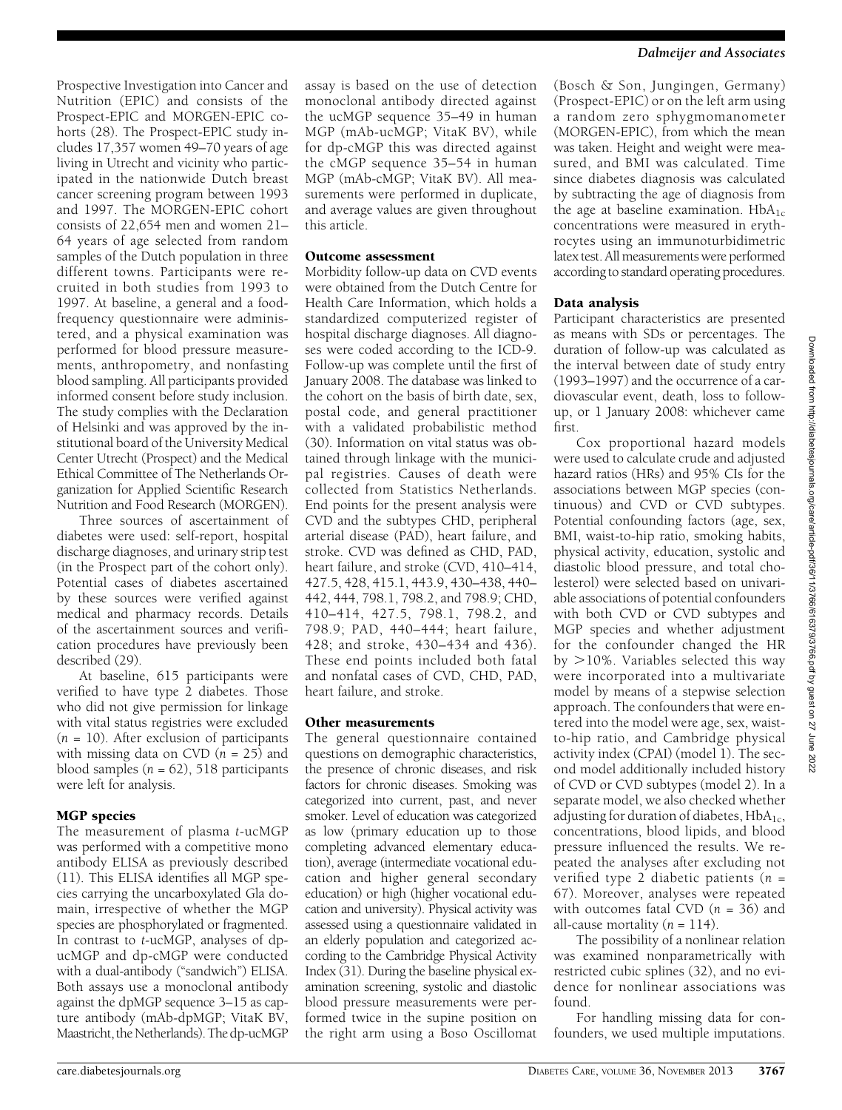Prospective Investigation into Cancer and Nutrition (EPIC) and consists of the Prospect-EPIC and MORGEN-EPIC cohorts (28). The Prospect-EPIC study includes 17,357 women 49–70 years of age living in Utrecht and vicinity who participated in the nationwide Dutch breast cancer screening program between 1993 and 1997. The MORGEN-EPIC cohort consists of 22,654 men and women 21– 64 years of age selected from random samples of the Dutch population in three different towns. Participants were recruited in both studies from 1993 to 1997. At baseline, a general and a foodfrequency questionnaire were administered, and a physical examination was performed for blood pressure measurements, anthropometry, and nonfasting blood sampling. All participants provided informed consent before study inclusion. The study complies with the Declaration of Helsinki and was approved by the institutional board of the University Medical Center Utrecht (Prospect) and the Medical Ethical Committee of The Netherlands Organization for Applied Scientific Research Nutrition and Food Research (MORGEN).

Three sources of ascertainment of diabetes were used: self-report, hospital discharge diagnoses, and urinary strip test (in the Prospect part of the cohort only). Potential cases of diabetes ascertained by these sources were verified against medical and pharmacy records. Details of the ascertainment sources and verification procedures have previously been described (29).

At baseline, 615 participants were verified to have type 2 diabetes. Those who did not give permission for linkage with vital status registries were excluded  $(n = 10)$ . After exclusion of participants with missing data on CVD  $(n = 25)$  and blood samples  $(n = 62)$ , 518 participants were left for analysis.

The measurement of plasma t-ucMGP was performed with a competitive mono antibody ELISA as previously described (11). This ELISA identifies all MGP species carrying the uncarboxylated Gla domain, irrespective of whether the MGP species are phosphorylated or fragmented. In contrast to t-ucMGP, analyses of dpucMGP and dp-cMGP were conducted with a dual-antibody ("sandwich") ELISA. Both assays use a monoclonal antibody against the dpMGP sequence 3–15 as capture antibody (mAb-dpMGP; VitaK BV, Maastricht, the Netherlands). The dp-ucMGP

assay is based on the use of detection monoclonal antibody directed against the ucMGP sequence 35–49 in human MGP (mAb-ucMGP; VitaK BV), while for dp-cMGP this was directed against the cMGP sequence 35–54 in human MGP (mAb-cMGP; VitaK BV). All measurements were performed in duplicate, and average values are given throughout this article.

Morbidity follow-up data on CVD events were obtained from the Dutch Centre for Health Care Information, which holds a standardized computerized register of hospital discharge diagnoses. All diagnoses were coded according to the ICD-9. Follow-up was complete until the first of January 2008. The database was linked to the cohort on the basis of birth date, sex, postal code, and general practitioner with a validated probabilistic method (30). Information on vital status was obtained through linkage with the municipal registries. Causes of death were collected from Statistics Netherlands. End points for the present analysis were CVD and the subtypes CHD, peripheral arterial disease (PAD), heart failure, and stroke. CVD was defined as CHD, PAD, heart failure, and stroke (CVD, 410–414, 427.5, 428, 415.1, 443.9, 430–438, 440– 442, 444, 798.1, 798.2, and 798.9; CHD, 410–414, 427.5, 798.1, 798.2, and 798.9; PAD, 440–444; heart failure, 428; and stroke, 430–434 and 436). These end points included both fatal and nonfatal cases of CVD, CHD, PAD, heart failure, and stroke.

Other measurements The general questionnaire contained questions on demographic characteristics, the presence of chronic diseases, and risk factors for chronic diseases. Smoking was categorized into current, past, and never smoker. Level of education was categorized as low (primary education up to those completing advanced elementary education), average (intermediate vocational education and higher general secondary education) or high (higher vocational education and university). Physical activity was assessed using a questionnaire validated in an elderly population and categorized according to the Cambridge Physical Activity Index (31). During the baseline physical examination screening, systolic and diastolic blood pressure measurements were performed twice in the supine position on the right arm using a Boso Oscillomat

(Bosch & Son, Jungingen, Germany) (Prospect-EPIC) or on the left arm using a random zero sphygmomanometer (MORGEN-EPIC), from which the mean was taken. Height and weight were measured, and BMI was calculated. Time since diabetes diagnosis was calculated by subtracting the age of diagnosis from the age at baseline examination.  $HbA_{1c}$ concentrations were measured in erythrocytes using an immunoturbidimetric latex test. All measurements were performed according to standard operating procedures.

- **Analysis**<br>Participant characteristics are presented as means with SDs or percentages. The duration of follow-up was calculated as the interval between date of study entry (1993–1997) and the occurrence of a cardiovascular event, death, loss to followup, or 1 January 2008: whichever came first.

Cox proportional hazard models were used to calculate crude and adjusted hazard ratios (HRs) and 95% CIs for the associations between MGP species (continuous) and CVD or CVD subtypes. Potential confounding factors (age, sex, BMI, waist-to-hip ratio, smoking habits, physical activity, education, systolic and diastolic blood pressure, and total cholesterol) were selected based on univariable associations of potential confounders with both CVD or CVD subtypes and MGP species and whether adjustment for the confounder changed the HR by  $>$ 10%. Variables selected this way were incorporated into a multivariate model by means of a stepwise selection approach. The confounders that were entered into the model were age, sex, waistto-hip ratio, and Cambridge physical activity index (CPAI) (model 1). The second model additionally included history of CVD or CVD subtypes (model 2). In a separate model, we also checked whether adjusting for duration of diabetes,  $HbA_{1c}$ , concentrations, blood lipids, and blood pressure influenced the results. We repeated the analyses after excluding not verified type 2 diabetic patients ( $n =$ 67). Moreover, analyses were repeated with outcomes fatal CVD  $(n = 36)$  and all-cause mortality ( $n = 114$ ).

The possibility of a nonlinear relation was examined nonparametrically with restricted cubic splines (32), and no evidence for nonlinear associations was found.

For handling missing data for confounders, we used multiple imputations.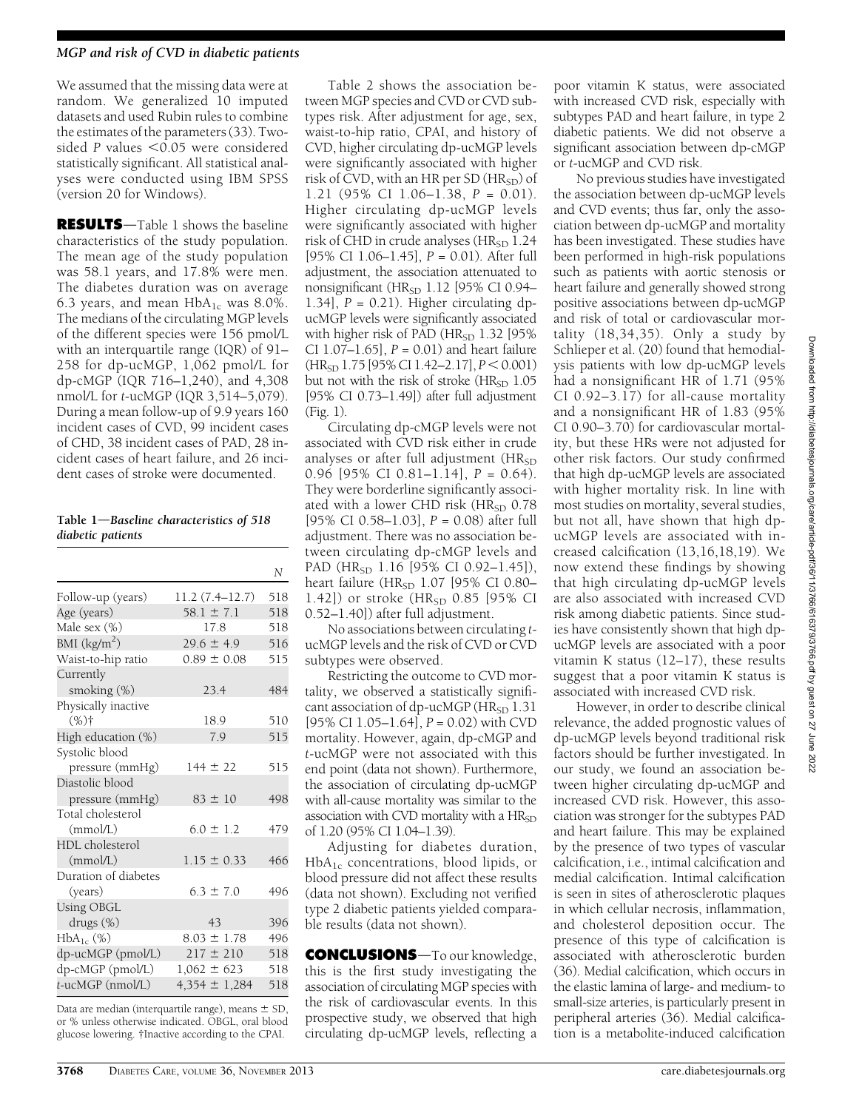We assumed that the missing data were at random. We generalized 10 imputed datasets and used Rubin rules to combine the estimates of the parameters (33). Twosided P values  $<$  0.05 were considered statistically significant. All statistical analyses were conducted using IBM SPSS (version 20 for Windows).

**RESULTS**—Table 1 shows the baseline characteristics of the study population. The mean age of the study population was 58.1 years, and 17.8% were men. The diabetes duration was on average 6.3 years, and mean  $HbA_{1c}$  was 8.0%. The medians of the circulating MGP levels of the different species were 156 pmol/L with an interquartile range (IQR) of 91– 258 for dp-ucMGP, 1,062 pmol/L for dp-cMGP (IQR 716–1,240), and 4,308 nmol/L for t-ucMGP (IQR 3,514–5,079). During a mean follow-up of 9.9 years 160 incident cases of CVD, 99 incident cases of CHD, 38 incident cases of PAD, 28 incident cases of heart failure, and 26 incident cases of stroke were documented.

Table  $1$ —Baseline characteristics of 518 diabetic patients

|                      |                   | N   |
|----------------------|-------------------|-----|
| Follow-up (years)    | 11.2 (7.4–12.7)   | 518 |
| Age (years)          | $58.1 \pm 7.1$    | 518 |
| Male sex (%)         | 17.8              | 518 |
| BMI $(kg/m2)$        | $29.6 \pm 4.9$    | 516 |
| Waist-to-hip ratio   | $0.89 \pm 0.08$   | 515 |
| Currently            |                   |     |
| smoking $(\%)$       | 23.4              | 484 |
| Physically inactive  |                   |     |
| $(%)^+$              | 18.9              | 510 |
| High education (%)   | 7.9               | 515 |
| Systolic blood       |                   |     |
| pressure (mmHg)      | $144 \pm 22$      | 515 |
| Diastolic blood      |                   |     |
| pressure (mmHg)      | $83 \pm 10$       | 498 |
| Total cholesterol    |                   |     |
| (mmol/L)             | $6.0 \pm 1.2$     | 479 |
| HDL cholesterol      |                   |     |
| (mmol/L)             | $1.15 \pm 0.33$   | 466 |
| Duration of diabetes |                   |     |
| (years)              | $6.3 \pm 7.0$     | 496 |
| <b>Using OBGL</b>    |                   |     |
| drugs (%)            | 43                | 396 |
| $HbA_{1c}$ (%)       | $8.03 \pm 1.78$   | 496 |
| dp-ucMGP (pmol/L)    | $217 \pm 210$     | 518 |
| dp-cMGP (pmol/L)     | $1,062 \pm 623$   | 518 |
| t-ucMGP (nmol/L)     | $4,354 \pm 1,284$ | 518 |

Data are median (interquartile range), means  $\pm$  SD, or % unless otherwise indicated. OBGL, oral blood glucose lowering. †Inactive according to the CPAI.

Table 2 shows the association between MGP species and CVD or CVD subtypes risk. After adjustment for age, sex, waist-to-hip ratio, CPAI, and history of CVD, higher circulating dp-ucMGP levels were significantly associated with higher risk of  $\overline{CVD}$ , with an HR per SD ( $\overline{HR_{SD}}$ ) of 1.21 (95% CI 1.06–1.38, P = 0.01). Higher circulating dp-ucMGP levels were significantly associated with higher risk of CHD in crude analyses (HR<sub>SD</sub> 1.24 [95% CI 1.06–1.45], P = 0.01). After full adjustment, the association attenuated to nonsignificant ( $HR<sub>SD</sub> 1.12$  [95% CI 0.94– 1.34],  $P = 0.21$ . Higher circulating dpucMGP levels were significantly associated with higher risk of PAD (HR<sub>SD</sub> 1.32 [95% CI 1.07–1.65],  $P = 0.01$  and heart failure  $(HR<sub>SD</sub> 1.75 [95% CI 1.42–2.17], P < 0.001)$ but not with the risk of stroke  $(HR<sub>SD</sub> 1.05$ [95% CI 0.73–1.49]) after full adjustment (Fig. 1).

Circulating dp-cMGP levels were not associated with CVD risk either in crude analyses or after full adjustment  $(HR<sub>SD</sub>)$ 0.96  $[95\% \text{ CI } 0.81-1.14]$ ,  $P = 0.64$ ). They were borderline significantly associated with a lower CHD risk (HR<sub>SD</sub> 0.78 [95% CI 0.58–1.03],  $P = 0.08$ ) after full adjustment. There was no association between circulating dp-cMGP levels and PAD (HR<sub>SD</sub> 1.16 [95% CI 0.92-1.45]), heart failure (HR<sub>SD</sub> 1.07 [95% CI 0.80-1.42]) or stroke  $(HR_{SD} 0.85$  [95% CI 0.52–1.40]) after full adjustment.

No associations between circulating tucMGP levels and the risk of CVD or CVD subtypes were observed.

Restricting the outcome to CVD mortality, we observed a statistically significant association of dp-ucMGP ( $HR_{SD}$  1.31 [95% CI 1.05–1.64],  $P = 0.02$ ) with CVD mortality. However, again, dp-cMGP and t-ucMGP were not associated with this end point (data not shown). Furthermore, the association of circulating dp-ucMGP with all-cause mortality was similar to the association with CVD mortality with a  $HR<sub>SD</sub>$ of 1.20 (95% CI 1.04–1.39).

Adjusting for diabetes duration, HbA1c concentrations, blood lipids, or blood pressure did not affect these results (data not shown). Excluding not verified type 2 diabetic patients yielded comparable results (data not shown).

CONCLUSIONS-To our knowledge, this is the first study investigating the association of circulating MGP species with the risk of cardiovascular events. In this prospective study, we observed that high circulating dp-ucMGP levels, reflecting a poor vitamin K status, were associated with increased CVD risk, especially with subtypes PAD and heart failure, in type 2 diabetic patients. We did not observe a significant association between dp-cMGP or t-ucMGP and CVD risk.

No previous studies have investigated the association between dp-ucMGP levels and CVD events; thus far, only the association between dp-ucMGP and mortality has been investigated. These studies have been performed in high-risk populations such as patients with aortic stenosis or heart failure and generally showed strong positive associations between dp-ucMGP and risk of total or cardiovascular mortality (18,34,35). Only a study by Schlieper et al. (20) found that hemodialysis patients with low dp-ucMGP levels had a nonsignificant HR of 1.71 (95% CI 0.92–3.17) for all-cause mortality and a nonsignificant HR of 1.83 (95% CI 0.90–3.70) for cardiovascular mortality, but these HRs were not adjusted for other risk factors. Our study confirmed that high dp-ucMGP levels are associated with higher mortality risk. In line with most studies on mortality, several studies, but not all, have shown that high dpucMGP levels are associated with increased calcification (13,16,18,19). We now extend these findings by showing that high circulating dp-ucMGP levels are also associated with increased CVD risk among diabetic patients. Since studies have consistently shown that high dpucMGP levels are associated with a poor vitamin K status (12–17), these results suggest that a poor vitamin K status is associated with increased CVD risk.

However, in order to describe clinical relevance, the added prognostic values of dp-ucMGP levels beyond traditional risk factors should be further investigated. In our study, we found an association between higher circulating dp-ucMGP and increased CVD risk. However, this association was stronger for the subtypes PAD and heart failure. This may be explained by the presence of two types of vascular calcification, i.e., intimal calcification and medial calcification. Intimal calcification is seen in sites of atherosclerotic plaques in which cellular necrosis, inflammation, and cholesterol deposition occur. The presence of this type of calcification is associated with atherosclerotic burden (36). Medial calcification, which occurs in the elastic lamina of large- and medium- to small-size arteries, is particularly present in peripheral arteries (36). Medial calcification is a metabolite-induced calcification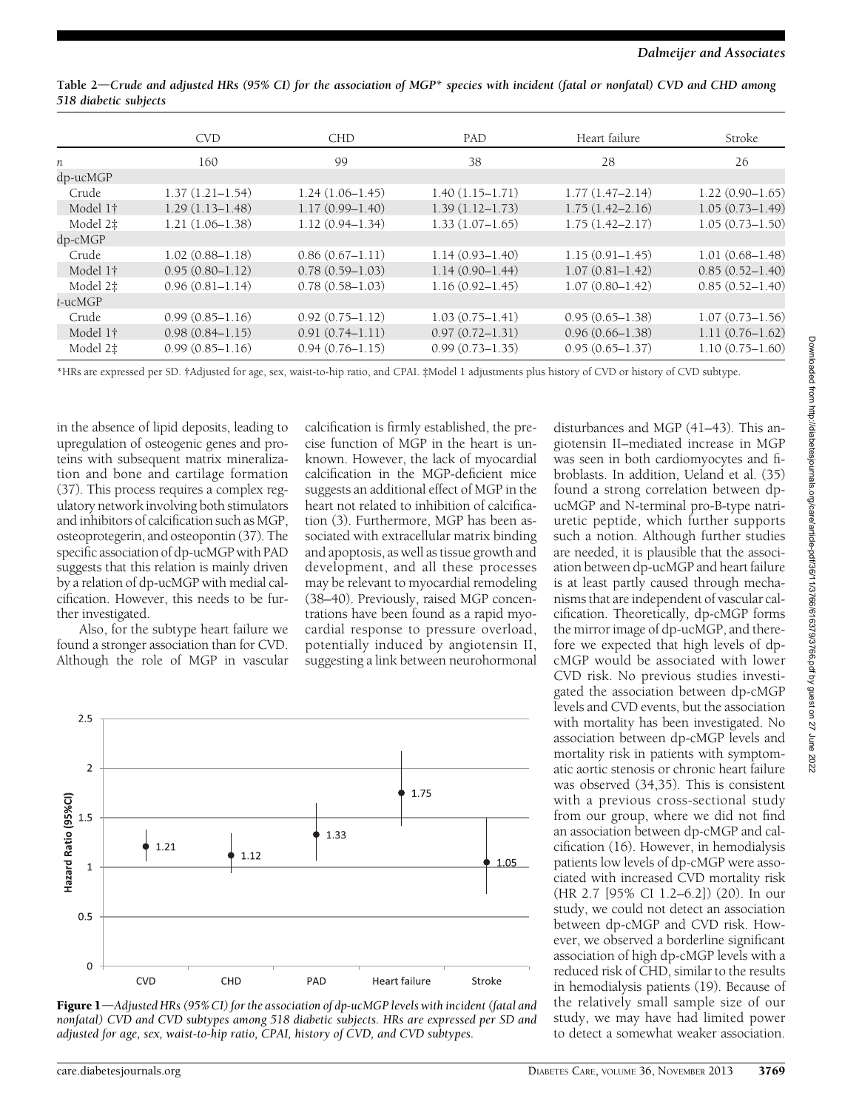|            | <b>CVD</b>          | <b>CHD</b>          | PAD                 | Heart failure       | Stroke              |
|------------|---------------------|---------------------|---------------------|---------------------|---------------------|
| n          | 160                 | 99                  | 38                  | 28                  | 26                  |
| dp-ucMGP   |                     |                     |                     |                     |                     |
| Crude      | $1.37(1.21 - 1.54)$ | $1.24(1.06-1.45)$   | $1.40(1.15 - 1.71)$ | $1.77(1.47 - 2.14)$ | $1.22(0.90 - 1.65)$ |
| Model 1†   | $1.29(1.13 - 1.48)$ | $1.17(0.99 - 1.40)$ | $1.39(1.12 - 1.73)$ | $1.75(1.42 - 2.16)$ | $1.05(0.73 - 1.49)$ |
| Model 2‡   | $1.21(1.06-1.38)$   | $1.12(0.94 - 1.34)$ | $1.33(1.07 - 1.65)$ | $1.75(1.42 - 2.17)$ | $1.05(0.73 - 1.50)$ |
| $dp$ -cMGP |                     |                     |                     |                     |                     |
| Crude      | $1.02(0.88 - 1.18)$ | $0.86(0.67 - 1.11)$ | $1.14(0.93 - 1.40)$ | $1.15(0.91 - 1.45)$ | $1.01(0.68 - 1.48)$ |
| Model 1†   | $0.95(0.80 - 1.12)$ | $0.78(0.59 - 1.03)$ | $1.14(0.90 - 1.44)$ | $1.07(0.81 - 1.42)$ | $0.85(0.52 - 1.40)$ |
| Model 2‡   | $0.96(0.81 - 1.14)$ | $0.78(0.58 - 1.03)$ | $1.16(0.92 - 1.45)$ | $1.07(0.80 - 1.42)$ | $0.85(0.52 - 1.40)$ |
| t-ucMGP    |                     |                     |                     |                     |                     |
| Crude      | $0.99(0.85 - 1.16)$ | $0.92(0.75 - 1.12)$ | $1.03(0.75 - 1.41)$ | $0.95(0.65 - 1.38)$ | $1.07(0.73 - 1.56)$ |
| Model 1†   | $0.98(0.84 - 1.15)$ | $0.91(0.74 - 1.11)$ | $0.97(0.72 - 1.31)$ | $0.96(0.66 - 1.38)$ | $1.11(0.76 - 1.62)$ |
| Model 2‡   | $0.99(0.85 - 1.16)$ | $0.94(0.76 - 1.15)$ | $0.99(0.73 - 1.35)$ | $0.95(0.65 - 1.37)$ | $1.10(0.75 - 1.60)$ |

Table  $2$ —Crude and adjusted HRs (95% CI) for the association of MGP\* species with incident (fatal or nonfatal) CVD and CHD among 518 diabetic subjects

\*HRs are expressed per SD. †Adjusted for age, sex, waist-to-hip ratio, and CPAI. ‡Model 1 adjustments plus history of CVD or history of CVD subtype.

in the absence of lipid deposits, leading to upregulation of osteogenic genes and proteins with subsequent matrix mineralization and bone and cartilage formation (37). This process requires a complex regulatory network involving both stimulators and inhibitors of calcification such as MGP, osteoprotegerin, and osteopontin (37). The specific association of dp-ucMGP with PAD suggests that this relation is mainly driven by a relation of dp-ucMGP with medial calcification. However, this needs to be further investigated.

Also, for the subtype heart failure we found a stronger association than for CVD. Although the role of MGP in vascular

calcification is firmly established, the precise function of MGP in the heart is unknown. However, the lack of myocardial calcification in the MGP-deficient mice suggests an additional effect of MGP in the heart not related to inhibition of calcification (3). Furthermore, MGP has been associated with extracellular matrix binding and apoptosis, as well as tissue growth and development, and all these processes may be relevant to myocardial remodeling (38–40). Previously, raised MGP concentrations have been found as a rapid myocardial response to pressure overload, potentially induced by angiotensin II, suggesting a link between neurohormonal



Figure  $1$ —Adjusted HRs (95% CI) for the association of dp-ucMGP levels with incident (fatal and nonfatal) CVD and CVD subtypes among 518 diabetic subjects. HRs are expressed per SD and adjusted for age, sex, waist-to-hip ratio, CPAI, history of CVD, and CVD subtypes.

disturbances and MGP (41–43). This angiotensin II–mediated increase in MGP was seen in both cardiomyocytes and fibroblasts. In addition, Ueland et al. (35) found a strong correlation between dpucMGP and N-terminal pro-B-type natriuretic peptide, which further supports such a notion. Although further studies are needed, it is plausible that the association between dp-ucMGP and heart failure is at least partly caused through mechanisms that are independent of vascular calcification. Theoretically, dp-cMGP forms the mirror image of dp-ucMGP, and therefore we expected that high levels of dpcMGP would be associated with lower CVD risk. No previous studies investigated the association between dp-cMGP levels and CVD events, but the association with mortality has been investigated. No association between dp-cMGP levels and mortality risk in patients with symptomatic aortic stenosis or chronic heart failure was observed (34,35). This is consistent with a previous cross-sectional study from our group, where we did not find an association between dp-cMGP and calcification (16). However, in hemodialysis patients low levels of dp-cMGP were associated with increased CVD mortality risk (HR 2.7 [95% CI 1.2–6.2]) (20). In our study, we could not detect an association between dp-cMGP and CVD risk. However, we observed a borderline significant association of high dp-cMGP levels with a reduced risk of CHD, similar to the results in hemodialysis patients (19). Because of the relatively small sample size of our study, we may have had limited power to detect a somewhat weaker association.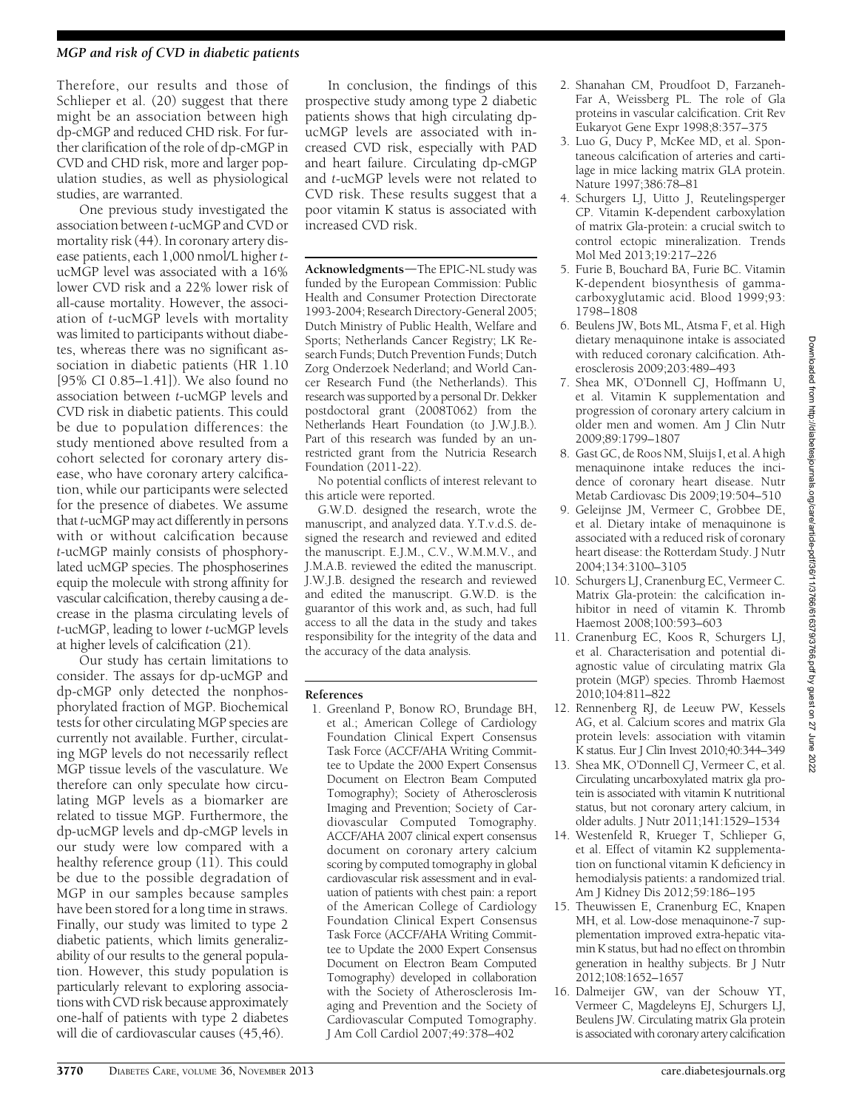## MGP and risk of CVD in diabetic patients

Therefore, our results and those of Schlieper et al. (20) suggest that there might be an association between high dp-cMGP and reduced CHD risk. For further clarification of the role of dp-cMGP in CVD and CHD risk, more and larger population studies, as well as physiological studies, are warranted.

One previous study investigated the association between t-ucMGP and CVD or mortality risk (44). In coronary artery disease patients, each 1,000 nmol/L higher tucMGP level was associated with a 16% lower CVD risk and a 22% lower risk of all-cause mortality. However, the association of t-ucMGP levels with mortality was limited to participants without diabetes, whereas there was no significant association in diabetic patients (HR 1.10 [95% CI 0.85–1.41]). We also found no association between t-ucMGP levels and CVD risk in diabetic patients. This could be due to population differences: the study mentioned above resulted from a cohort selected for coronary artery disease, who have coronary artery calcification, while our participants were selected for the presence of diabetes. We assume that t-ucMGP may act differently in persons with or without calcification because t-ucMGP mainly consists of phosphorylated ucMGP species. The phosphoserines equip the molecule with strong affinity for vascular calcification, thereby causing a decrease in the plasma circulating levels of t-ucMGP, leading to lower t-ucMGP levels at higher levels of calcification (21).

Our study has certain limitations to consider. The assays for dp-ucMGP and dp-cMGP only detected the nonphosphorylated fraction of MGP. Biochemical tests for other circulating MGP species are currently not available. Further, circulating MGP levels do not necessarily reflect MGP tissue levels of the vasculature. We therefore can only speculate how circulating MGP levels as a biomarker are related to tissue MGP. Furthermore, the dp-ucMGP levels and dp-cMGP levels in our study were low compared with a healthy reference group  $(11)$ . This could be due to the possible degradation of MGP in our samples because samples have been stored for a long time in straws. Finally, our study was limited to type 2 diabetic patients, which limits generalizability of our results to the general population. However, this study population is particularly relevant to exploring associations with CVD risk because approximately one-half of patients with type 2 diabetes will die of cardiovascular causes (45,46).

In conclusion, the findings of this prospective study among type 2 diabetic patients shows that high circulating dpucMGP levels are associated with increased CVD risk, especially with PAD and heart failure. Circulating dp-cMGP and t-ucMGP levels were not related to CVD risk. These results suggest that a poor vitamin K status is associated with increased CVD risk.

Acknowledgments-The EPIC-NL study was funded by the European Commission: Public Health and Consumer Protection Directorate 1993-2004; Research Directory-General 2005; Dutch Ministry of Public Health, Welfare and Sports; Netherlands Cancer Registry; LK Research Funds; Dutch Prevention Funds; Dutch Zorg Onderzoek Nederland; and World Cancer Research Fund (the Netherlands). This research was supported by a personal Dr. Dekker postdoctoral grant (2008T062) from the Netherlands Heart Foundation (to J.W.J.B.). Part of this research was funded by an unrestricted grant from the Nutricia Research Foundation (2011-22).

No potential conflicts of interest relevant to this article were reported.

G.W.D. designed the research, wrote the manuscript, and analyzed data. Y.T.v.d.S. designed the research and reviewed and edited the manuscript. E.J.M., C.V., W.M.M.V., and J.M.A.B. reviewed the edited the manuscript. J.W.J.B. designed the research and reviewed and edited the manuscript. G.W.D. is the guarantor of this work and, as such, had full access to all the data in the study and takes responsibility for the integrity of the data and the accuracy of the data analysis.

### References

1. Greenland P, Bonow RO, Brundage BH, et al.; American College of Cardiology Foundation Clinical Expert Consensus Task Force (ACCF/AHA Writing Committee to Update the 2000 Expert Consensus Document on Electron Beam Computed Tomography); Society of Atherosclerosis Imaging and Prevention; Society of Cardiovascular Computed Tomography. ACCF/AHA 2007 clinical expert consensus document on coronary artery calcium scoring by computed tomography in global cardiovascular risk assessment and in evaluation of patients with chest pain: a report of the American College of Cardiology Foundation Clinical Expert Consensus Task Force (ACCF/AHA Writing Committee to Update the 2000 Expert Consensus Document on Electron Beam Computed Tomography) developed in collaboration with the Society of Atherosclerosis Imaging and Prevention and the Society of Cardiovascular Computed Tomography. J Am Coll Cardiol 2007;49:378–402

- 2. Shanahan CM, Proudfoot D, Farzaneh-Far A, Weissberg PL. The role of Gla proteins in vascular calcification. Crit Rev Eukaryot Gene Expr 1998;8:357–375
- 3. Luo G, Ducy P, McKee MD, et al. Spontaneous calcification of arteries and cartilage in mice lacking matrix GLA protein. Nature 1997;386:78–81
- 4. Schurgers LJ, Uitto J, Reutelingsperger CP. Vitamin K-dependent carboxylation of matrix Gla-protein: a crucial switch to control ectopic mineralization. Trends Mol Med 2013;19:217–226
- 5. Furie B, Bouchard BA, Furie BC. Vitamin K-dependent biosynthesis of gammacarboxyglutamic acid. Blood 1999;93: 1798–1808
- 6. Beulens JW, Bots ML, Atsma F, et al. High dietary menaquinone intake is associated with reduced coronary calcification. Atherosclerosis 2009;203:489–493
- 7. Shea MK, O'Donnell CJ, Hoffmann U, et al. Vitamin K supplementation and progression of coronary artery calcium in older men and women. Am J Clin Nutr 2009;89:1799–1807
- 8. Gast GC, de Roos NM, Sluijs I, et al. A high menaquinone intake reduces the incidence of coronary heart disease. Nutr Metab Cardiovasc Dis 2009;19:504–510
- 9. Geleijnse JM, Vermeer C, Grobbee DE, et al. Dietary intake of menaquinone is associated with a reduced risk of coronary heart disease: the Rotterdam Study. J Nutr 2004;134:3100–3105
- 10. Schurgers LJ, Cranenburg EC, Vermeer C. Matrix Gla-protein: the calcification inhibitor in need of vitamin K. Thromb Haemost 2008;100:593–603
- 11. Cranenburg EC, Koos R, Schurgers LJ, et al. Characterisation and potential diagnostic value of circulating matrix Gla protein (MGP) species. Thromb Haemost 2010;104:811–822
- 12. Rennenberg RJ, de Leeuw PW, Kessels AG, et al. Calcium scores and matrix Gla protein levels: association with vitamin K status. Eur J Clin Invest 2010;40:344–349
- 13. Shea MK, O'Donnell CJ, Vermeer C, et al. Circulating uncarboxylated matrix gla protein is associated with vitamin K nutritional status, but not coronary artery calcium, in older adults. J Nutr 2011;141:1529–1534
- 14. Westenfeld R, Krueger T, Schlieper G, et al. Effect of vitamin K2 supplementation on functional vitamin K deficiency in hemodialysis patients: a randomized trial. Am J Kidney Dis 2012;59:186–195
- 15. Theuwissen E, Cranenburg EC, Knapen MH, et al. Low-dose menaquinone-7 supplementation improved extra-hepatic vitamin K status, but had no effect on thrombin generation in healthy subjects. Br J Nutr 2012;108:1652–1657
- 16. Dalmeijer GW, van der Schouw YT, Vermeer C, Magdeleyns EJ, Schurgers LJ, Beulens JW. Circulating matrix Gla protein is associated with coronary artery calcification